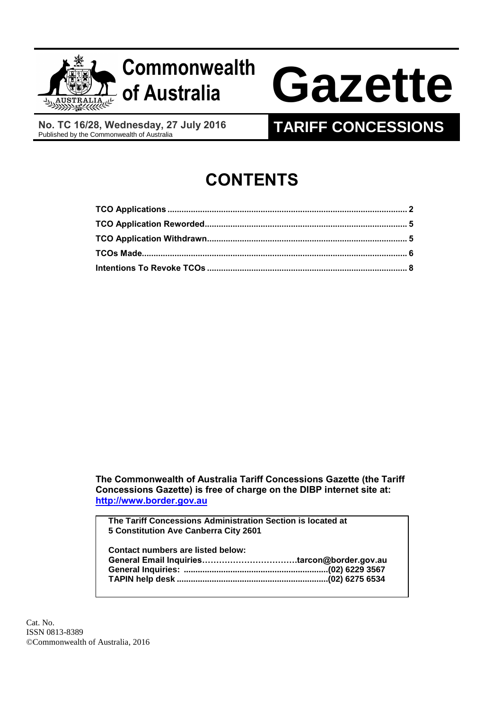

**No. TC 16/28, Wednesday, 27 July 2016**

# **TARIFF CONCESSIONS**

# **CONTENTS**

**The Commonwealth of Australia Tariff Concessions Gazette (the Tariff Concessions Gazette) is free of charge on the DIBP internet site at: [http://www.border.gov.au](http://www.border.gov.au/)**

**The Tariff Concessions Administration Section is located at 5 Constitution Ave Canberra City 2601**

| <b>Contact numbers are listed below:</b> |  |
|------------------------------------------|--|
|                                          |  |
|                                          |  |
|                                          |  |
|                                          |  |

Cat. No. ISSN 0813-8389 ©Commonwealth of Australia, 2016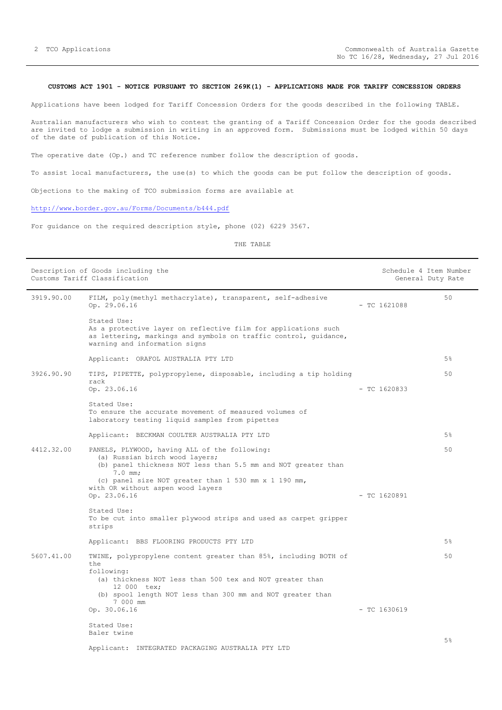## <span id="page-1-0"></span>**CUSTOMS ACT 1901 - NOTICE PURSUANT TO SECTION 269K(1) - APPLICATIONS MADE FOR TARIFF CONCESSION ORDERS**

Applications have been lodged for Tariff Concession Orders for the goods described in the following TABLE.

Australian manufacturers who wish to contest the granting of a Tariff Concession Order for the goods described are invited to lodge a submission in writing in an approved form. Submissions must be lodged within 50 days of the date of publication of this Notice.

The operative date (Op.) and TC reference number follow the description of goods.

To assist local manufacturers, the use(s) to which the goods can be put follow the description of goods.

Objections to the making of TCO submission forms are available at

## <http://www.border.gov.au/Forms/Documents/b444.pdf>

For guidance on the required description style, phone (02) 6229 3567.

THE TABLE

|                                                   | Description of Goods including the<br>Customs Tariff Classification                                                                                                                                                             | Schedule 4 Item Number | General Duty Rate |
|---------------------------------------------------|---------------------------------------------------------------------------------------------------------------------------------------------------------------------------------------------------------------------------------|------------------------|-------------------|
| 3919.90.00                                        | FILM, poly(methyl methacrylate), transparent, self-adhesive<br>Op. 29.06.16                                                                                                                                                     | $-$ TC 1621088         | 50                |
|                                                   | Stated Use:<br>As a protective layer on reflective film for applications such<br>as lettering, markings and symbols on traffic control, guidance,<br>warning and information signs                                              |                        |                   |
|                                                   | Applicant: ORAFOL AUSTRALIA PTY LTD                                                                                                                                                                                             |                        | 5%                |
| 3926.90.90                                        | TIPS, PIPETTE, polypropylene, disposable, including a tip holding                                                                                                                                                               |                        | 50                |
|                                                   | rack<br>Op. 23.06.16                                                                                                                                                                                                            | $-$ TC 1620833         |                   |
|                                                   | Stated Use:<br>To ensure the accurate movement of measured volumes of<br>laboratory testing liquid samples from pipettes                                                                                                        |                        |                   |
|                                                   | Applicant: BECKMAN COULTER AUSTRALIA PTY LTD                                                                                                                                                                                    |                        | 5%                |
| 4412.32.00                                        | PANELS, PLYWOOD, having ALL of the following:<br>(a) Russian birch wood layers;<br>(b) panel thickness NOT less than 5.5 mm and NOT greater than<br>$7.0$ mm;<br>(c) panel size NOT greater than 1 530 mm x 1 190 mm,           |                        | 50                |
| with OR without aspen wood layers<br>Op. 23.06.16 |                                                                                                                                                                                                                                 | $-$ TC 1620891         |                   |
|                                                   | Stated Use:<br>To be cut into smaller plywood strips and used as carpet gripper<br>strips                                                                                                                                       |                        |                   |
|                                                   | Applicant: BBS FLOORING PRODUCTS PTY LTD                                                                                                                                                                                        |                        | 5%                |
| 5607.41.00                                        | TWINE, polypropylene content greater than 85%, including BOTH of<br>t.he<br>following:<br>(a) thickness NOT less than 500 tex and NOT greater than<br>12 000 tex;<br>(b) spool length NOT less than 300 mm and NOT greater than |                        | 50                |
|                                                   | 7 000 mm<br>Op. 30.06.16                                                                                                                                                                                                        | $-$ TC 1630619         |                   |
|                                                   | Stated Use:                                                                                                                                                                                                                     |                        |                   |
|                                                   | Baler twine                                                                                                                                                                                                                     |                        | 5%                |
|                                                   | Applicant: INTEGRATED PACKAGING AUSTRALIA PTY LTD                                                                                                                                                                               |                        |                   |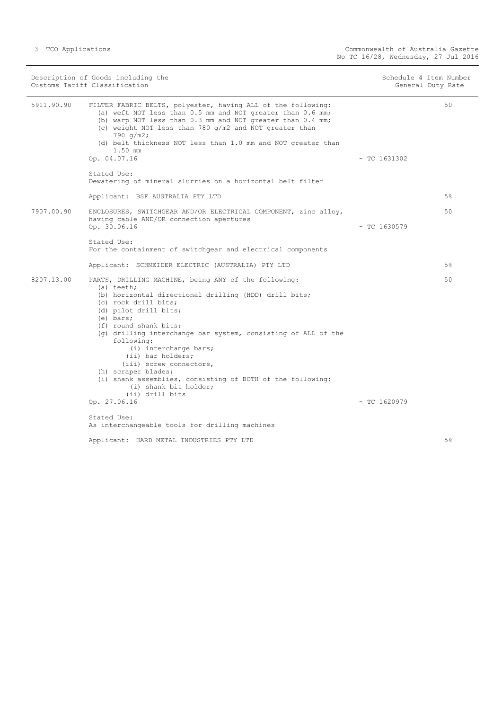| Description of Goods including the<br>Customs Tariff Classification                                                                                                                                                                                                                                                                                         |                                                                                                                                                                                                                                                                                                                                                                                                                                                                                                                             |                | Schedule 4 Item Number<br>General Duty Rate |
|-------------------------------------------------------------------------------------------------------------------------------------------------------------------------------------------------------------------------------------------------------------------------------------------------------------------------------------------------------------|-----------------------------------------------------------------------------------------------------------------------------------------------------------------------------------------------------------------------------------------------------------------------------------------------------------------------------------------------------------------------------------------------------------------------------------------------------------------------------------------------------------------------------|----------------|---------------------------------------------|
| 5911.90.90<br>FILTER FABRIC BELTS, polyester, having ALL of the following:<br>(a) weft NOT less than 0.5 mm and NOT greater than 0.6 mm;<br>(b) warp NOT less than 0.3 mm and NOT greater than 0.4 mm;<br>(c) weight NOT less than 780 g/m2 and NOT greater than<br>790 $q/m2$ ;<br>(d) belt thickness NOT less than 1.0 mm and NOT greater than<br>1.50 mm |                                                                                                                                                                                                                                                                                                                                                                                                                                                                                                                             |                | 50                                          |
|                                                                                                                                                                                                                                                                                                                                                             | Op. 04.07.16                                                                                                                                                                                                                                                                                                                                                                                                                                                                                                                | $-$ TC 1631302 |                                             |
|                                                                                                                                                                                                                                                                                                                                                             | Stated Use:<br>Dewatering of mineral slurries on a horizontal belt filter                                                                                                                                                                                                                                                                                                                                                                                                                                                   |                |                                             |
|                                                                                                                                                                                                                                                                                                                                                             | Applicant: BSF AUSTRALIA PTY LTD                                                                                                                                                                                                                                                                                                                                                                                                                                                                                            |                | 5%                                          |
| 7907.00.90                                                                                                                                                                                                                                                                                                                                                  | ENCLOSURES, SWITCHGEAR AND/OR ELECTRICAL COMPONENT, zinc alloy,<br>having cable AND/OR connection apertures<br>Op. 30.06.16                                                                                                                                                                                                                                                                                                                                                                                                 | $-$ TC 1630579 | 50                                          |
|                                                                                                                                                                                                                                                                                                                                                             | Stated Use:<br>For the containment of switchgear and electrical components                                                                                                                                                                                                                                                                                                                                                                                                                                                  |                |                                             |
| Applicant: SCHNEIDER ELECTRIC (AUSTRALIA) PTY LTD                                                                                                                                                                                                                                                                                                           |                                                                                                                                                                                                                                                                                                                                                                                                                                                                                                                             |                | $5\%$                                       |
| 8207.13.00                                                                                                                                                                                                                                                                                                                                                  | PARTS, DRILLING MACHINE, being ANY of the following:<br>(a) teeth;<br>(b) horizontal directional drilling (HDD) drill bits;<br>(c) rock drill bits;<br>(d) pilot drill bits;<br>(e) bars;<br>(f) round shank bits;<br>(q) drilling interchange bar system, consisting of ALL of the<br>following:<br>(i) interchange bars;<br>(ii) bar holders;<br>(iii) screw connectors,<br>(h) scraper blades;<br>(i) shank assemblies, consisting of BOTH of the following:<br>(i) shank bit holder;<br>(ii) drill bits<br>Op. 27.06.16 | $-$ TC 1620979 | 50                                          |
|                                                                                                                                                                                                                                                                                                                                                             | Stated Use:                                                                                                                                                                                                                                                                                                                                                                                                                                                                                                                 |                |                                             |
|                                                                                                                                                                                                                                                                                                                                                             | As interchangeable tools for drilling machines                                                                                                                                                                                                                                                                                                                                                                                                                                                                              |                |                                             |
|                                                                                                                                                                                                                                                                                                                                                             | Applicant: HARD METAL INDUSTRIES PTY LTD                                                                                                                                                                                                                                                                                                                                                                                                                                                                                    |                | 5%                                          |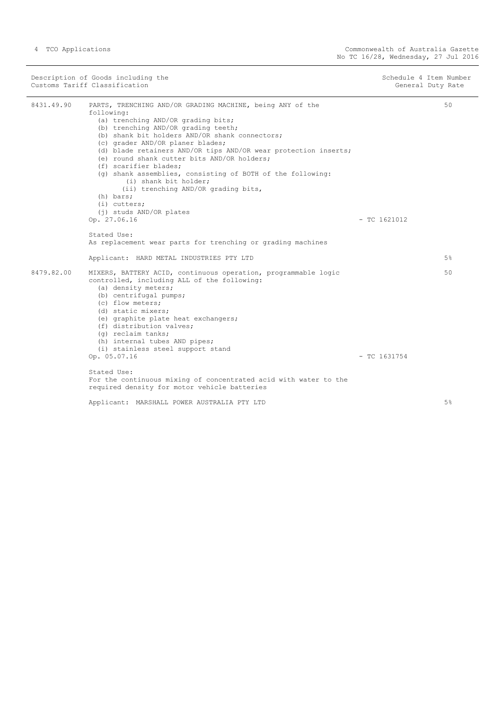| Description of Goods including the<br>Customs Tariff Classification |                                                                                                                                                                                                                                                                                                                                                                                                                                                                                                                                                                                             | Schedule 4 Item Number | General Duty Rate |
|---------------------------------------------------------------------|---------------------------------------------------------------------------------------------------------------------------------------------------------------------------------------------------------------------------------------------------------------------------------------------------------------------------------------------------------------------------------------------------------------------------------------------------------------------------------------------------------------------------------------------------------------------------------------------|------------------------|-------------------|
| 8431.49.90                                                          | PARTS, TRENCHING AND/OR GRADING MACHINE, being ANY of the<br>following:<br>(a) trenching AND/OR grading bits;<br>(b) trenching AND/OR grading teeth;<br>(b) shank bit holders AND/OR shank connectors;<br>(c) grader AND/OR planer blades;<br>(d) blade retainers AND/OR tips AND/OR wear protection inserts;<br>(e) round shank cutter bits AND/OR holders;<br>(f) scarifier blades;<br>(q) shank assemblies, consisting of BOTH of the following:<br>(i) shank bit holder;<br>(ii) trenching AND/OR grading bits,<br>(h) bars;<br>(i) cutters;<br>(j) studs AND/OR plates<br>Op. 27.06.16 | $-$ TC 1621012         | 50                |
|                                                                     | Stated Use:                                                                                                                                                                                                                                                                                                                                                                                                                                                                                                                                                                                 |                        |                   |
|                                                                     | As replacement wear parts for trenching or grading machines                                                                                                                                                                                                                                                                                                                                                                                                                                                                                                                                 |                        |                   |
|                                                                     | Applicant: HARD METAL INDUSTRIES PTY LTD                                                                                                                                                                                                                                                                                                                                                                                                                                                                                                                                                    |                        | 5%                |
| 8479.82.00                                                          | MIXERS, BATTERY ACID, continuous operation, programmable logic<br>controlled, including ALL of the following:<br>(a) density meters;<br>(b) centrifugal pumps;<br>(c) flow meters;<br>(d) static mixers;<br>(e) graphite plate heat exchangers;<br>(f) distribution valves;<br>(q) reclaim tanks;<br>(h) internal tubes AND pipes;<br>(i) stainless steel support stand<br>Op. 05.07.16<br>Stated Use:                                                                                                                                                                                      | $-$ TC 1631754         | 50                |
|                                                                     | For the continuous mixing of concentrated acid with water to the<br>required density for motor vehicle batteries                                                                                                                                                                                                                                                                                                                                                                                                                                                                            |                        |                   |
|                                                                     | Applicant: MARSHALL POWER AUSTRALIA PTY LTD                                                                                                                                                                                                                                                                                                                                                                                                                                                                                                                                                 |                        | 5%                |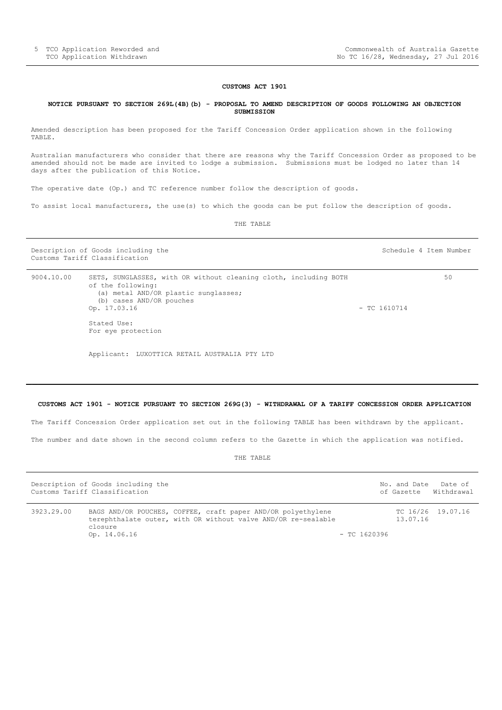#### **CUSTOMS ACT 1901**

#### <span id="page-4-0"></span>**NOTICE PURSUANT TO SECTION 269L(4B)(b) - PROPOSAL TO AMEND DESCRIPTION OF GOODS FOLLOWING AN OBJECTION SUBMISSION**

Amended description has been proposed for the Tariff Concession Order application shown in the following TABLE.

Australian manufacturers who consider that there are reasons why the Tariff Concession Order as proposed to be amended should not be made are invited to lodge a submission. Submissions must be lodged no later than 14 days after the publication of this Notice.

The operative date (Op.) and TC reference number follow the description of goods.

To assist local manufacturers, the use(s) to which the goods can be put follow the description of goods.

THE TABLE

Description of Goods including the Schedule 4 Item Number (Schedule 4 Item Number Customs Tariff Classification

| 9004.10.00 | SETS, SUNGLASSES, with OR without cleaning cloth, including BOTH | 50             |
|------------|------------------------------------------------------------------|----------------|
|            | of the following:                                                |                |
|            | (a) metal AND/OR plastic sunglasses;                             |                |
|            | (b) cases AND/OR pouches                                         |                |
|            | Op. 17.03.16                                                     | $-$ TC 1610714 |
|            | Stated Use:                                                      |                |
|            | For eye protection                                               |                |

Applicant: LUXOTTICA RETAIL AUSTRALIA PTY LTD

#### <span id="page-4-1"></span>**CUSTOMS ACT 1901 - NOTICE PURSUANT TO SECTION 269G(3) - WITHDRAWAL OF A TARIFF CONCESSION ORDER APPLICATION**

The Tariff Concession Order application set out in the following TABLE has been withdrawn by the applicant.

The number and date shown in the second column refers to the Gazette in which the application was notified.

THE TABLE

|            | Description of Goods including the<br>Customs Tariff Classification |                                                                                                                               |                | No. and Date | Date of<br>of Gazette Withdrawal |
|------------|---------------------------------------------------------------------|-------------------------------------------------------------------------------------------------------------------------------|----------------|--------------|----------------------------------|
| 3923.29.00 | closure<br>Op. 14.06.16                                             | BAGS AND/OR POUCHES, COFFEE, craft paper AND/OR polyethylene<br>terephthalate outer, with OR without valve AND/OR re-sealable | $-$ TC 1620396 | 13.07.16     | TC 16/26 19.07.16                |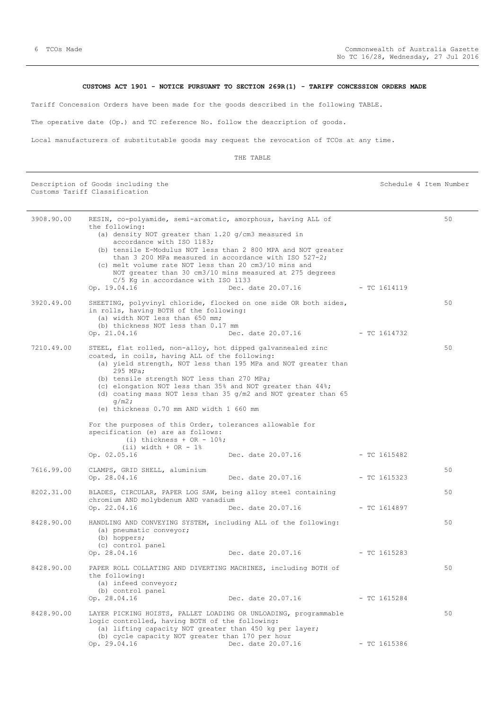## **CUSTOMS ACT 1901 - NOTICE PURSUANT TO SECTION 269R(1) - TARIFF CONCESSION ORDERS MADE**

<span id="page-5-0"></span>Tariff Concession Orders have been made for the goods described in the following TABLE.

The operative date (Op.) and TC reference No. follow the description of goods.

Local manufacturers of substitutable goods may request the revocation of TCOs at any time.

THE TABLE

Description of Goods including the Schedule 4 Item Number Schedule 4 Item Number Customs Tariff Classification

| 3908.90.00<br>3920.49.00 | RESIN, co-polyamide, semi-aromatic, amorphous, having ALL of<br>the following:<br>(a) density NOT greater than $1.20$ g/cm3 measured in<br>accordance with ISO 1183;<br>(b) tensile E-Modulus NOT less than 2 800 MPA and NOT greater<br>than 3 200 MPa measured in accordance with ISO $527-2$ ;<br>(c) melt volume rate NOT less than 20 cm3/10 mins and<br>C/5 Kg in accordance with ISO 1133<br>Op. 19.04.16<br>SHEETING, polyvinyl chloride, flocked on one side OR both sides, | NOT greater than 30 cm3/10 mins measured at 275 degrees<br>Dec. date 20.07.16                                                                          | - TC 1614119   | 50<br>50 |
|--------------------------|--------------------------------------------------------------------------------------------------------------------------------------------------------------------------------------------------------------------------------------------------------------------------------------------------------------------------------------------------------------------------------------------------------------------------------------------------------------------------------------|--------------------------------------------------------------------------------------------------------------------------------------------------------|----------------|----------|
|                          | in rolls, having BOTH of the following:<br>(a) width NOT less than 650 mm;<br>(b) thickness NOT less than 0.17 mm<br>Op. 21.04.16                                                                                                                                                                                                                                                                                                                                                    | Dec. date 20.07.16                                                                                                                                     | - TC 1614732   |          |
| 7210.49.00               | STEEL, flat rolled, non-alloy, hot dipped galvannealed zinc<br>coated, in coils, having ALL of the following:<br>295 MPa;<br>(b) tensile strength NOT less than 270 MPa;<br>(c) elongation NOT less than 35% and NOT greater than 44%;<br>$q/m2$ ;<br>(e) thickness 0.70 mm AND width 1 660 mm<br>For the purposes of this Order, tolerances allowable for<br>specification (e) are as follows:<br>(i) thickness + OR - $10$ ;<br>$(ii)$ width + OR - 1%<br>Op. 02.05.16             | (a) yield strength, NOT less than 195 MPa and NOT greater than<br>(d) coating mass NOT less than 35 g/m2 and NOT greater than 65<br>Dec. date 20.07.16 | $-$ TC 1615482 | 50       |
| 7616.99.00               | CLAMPS, GRID SHELL, aluminium<br>Op. 28.04.16                                                                                                                                                                                                                                                                                                                                                                                                                                        | Dec. date 20.07.16                                                                                                                                     | $-$ TC 1615323 | 50       |
| 8202.31.00               | BLADES, CIRCULAR, PAPER LOG SAW, being alloy steel containing<br>chromium AND molybdenum AND vanadium<br>Op. 22.04.16                                                                                                                                                                                                                                                                                                                                                                | Dec. date 20.07.16                                                                                                                                     | - TC 1614897   | 50       |
| 8428.90.00               | HANDLING AND CONVEYING SYSTEM, including ALL of the following:<br>(a) pneumatic conveyor;<br>(b) hoppers;<br>(c) control panel<br>Op. 28.04.16                                                                                                                                                                                                                                                                                                                                       | Dec. date 20.07.16                                                                                                                                     | $- TC 1615283$ | 50       |
| 8428.90.00               | PAPER ROLL COLLATING AND DIVERTING MACHINES, including BOTH of<br>the following:<br>(a) infeed conveyor;<br>(b) control panel<br>Op. 28.04.16                                                                                                                                                                                                                                                                                                                                        | Dec. date 20.07.16                                                                                                                                     | $-$ TC 1615284 | 50       |
| 8428.90.00               | LAYER PICKING HOISTS, PALLET LOADING OR UNLOADING, programmable<br>logic controlled, having BOTH of the following:<br>(a) lifting capacity NOT greater than 450 kg per layer;<br>(b) cycle capacity NOT greater than 170 per hour<br>Op. 29.04.16                                                                                                                                                                                                                                    | Dec. date 20.07.16                                                                                                                                     | $-$ TC 1615386 | 50       |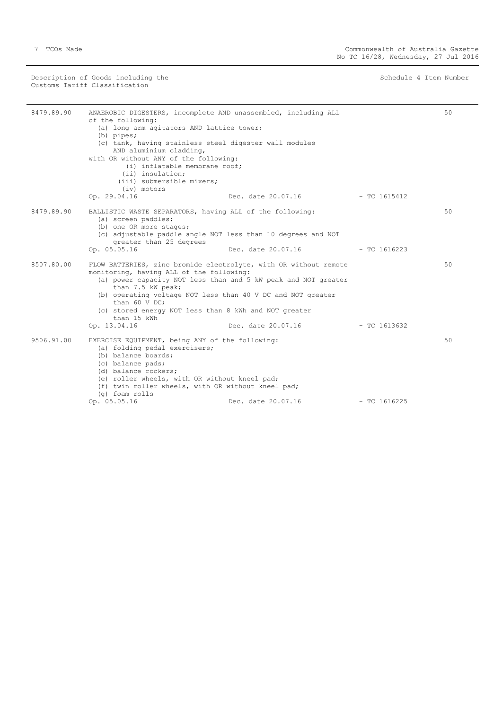Description of Goods including the Schedule 4 Item Number (Schedule 4 Item Number Customs Tariff Classification

÷,

| 8479.89.90 | ANAEROBIC DIGESTERS, incomplete AND unassembled, including ALL<br>of the following:<br>(a) long arm agitators AND lattice tower;<br>$(b)$ pipes;<br>(c) tank, having stainless steel digester wall modules<br>AND aluminium cladding,<br>with OR without ANY of the following:<br>(i) inflatable membrane roof;<br>(ii) insulation;<br>(iii) submersible mixers;<br>(iv) motors |                                                                                      |                | 50 |
|------------|---------------------------------------------------------------------------------------------------------------------------------------------------------------------------------------------------------------------------------------------------------------------------------------------------------------------------------------------------------------------------------|--------------------------------------------------------------------------------------|----------------|----|
|            | Op. 29.04.16                                                                                                                                                                                                                                                                                                                                                                    | Dec. date 20.07.16                                                                   | - TC 1615412   |    |
| 8479.89.90 | BALLISTIC WASTE SEPARATORS, having ALL of the following:<br>(a) screen paddles;<br>(b) one OR more stages;<br>(c) adjustable paddle angle NOT less than 10 degrees and NOT<br>greater than 25 degrees                                                                                                                                                                           |                                                                                      |                | 50 |
|            | Op. 05.05.16                                                                                                                                                                                                                                                                                                                                                                    | Dec. date 20.07.16                                                                   | $-$ TC 1616223 |    |
| 8507.80.00 | FLOW BATTERIES, zinc bromide electrolyte, with OR without remote<br>monitoring, having ALL of the following:<br>than 7.5 kW peak;<br>(b) operating voltage NOT less than 40 V DC and NOT greater<br>than 60 V DC;<br>(c) stored energy NOT less than 8 kWh and NOT greater<br>than 15 kWh<br>Op. 13.04.16                                                                       | (a) power capacity NOT less than and 5 kW peak and NOT greater<br>Dec. date 20.07.16 | $-$ TC 1613632 | 50 |
| 9506.91.00 | EXERCISE EQUIPMENT, being ANY of the following:<br>(a) folding pedal exercisers;<br>(b) balance boards;<br>(c) balance pads;<br>(d) balance rockers;<br>(e) roller wheels, with OR without kneel pad;<br>(f) twin roller wheels, with OR without kneel pad;<br>(g) foam rolls<br>Op. 05.05.16                                                                                   | Dec. date 20.07.16                                                                   | $-$ TC 1616225 | 50 |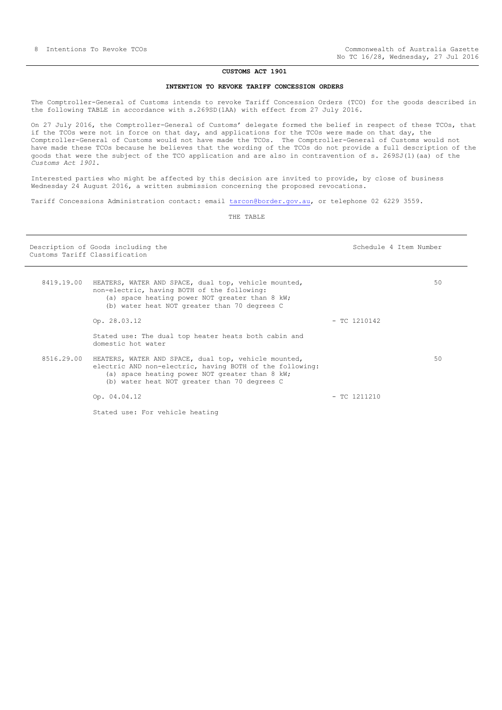#### **CUSTOMS ACT 1901**

#### **INTENTION TO REVOKE TARIFF CONCESSION ORDERS**

<span id="page-7-0"></span>The Comptroller-General of Customs intends to revoke Tariff Concession Orders (TCO) for the goods described in the following TABLE in accordance with s.269SD(1AA) with effect from 27 July 2016.

On 27 July 2016, the Comptroller-General of Customs' delegate formed the belief in respect of these TCOs, that if the TCOs were not in force on that day, and applications for the TCOs were made on that day, the Comptroller-General of Customs would not have made the TCOs. The Comptroller-General of Customs would not have made these TCOs because he believes that the wording of the TCOs do not provide a full description of the goods that were the subject of the TCO application and are also in contravention of s. 269SJ(1)(aa) of the *Customs Act 1901*.

Interested parties who might be affected by this decision are invited to provide, by close of business Wednesday 24 August 2016, a written submission concerning the proposed revocations.

Tariff Concessions Administration contact: email [tarcon@border.gov.au,](mailto:tarcon@border.gov.au) or telephone 02 6229 3559.

THE TABLE

| Customs Tariff Classification | Description of Goods including the                                                                                                                                                                                 | Schedule 4 Item Number |    |
|-------------------------------|--------------------------------------------------------------------------------------------------------------------------------------------------------------------------------------------------------------------|------------------------|----|
| 8419.19.00                    | HEATERS, WATER AND SPACE, dual top, vehicle mounted,<br>non-electric, having BOTH of the following:<br>(a) space heating power NOT greater than 8 kW;<br>(b) water heat NOT greater than 70 degrees C              |                        | 50 |
|                               | Op. 28.03.12                                                                                                                                                                                                       | $-$ TC 1210142         |    |
|                               | Stated use: The dual top heater heats both cabin and<br>domestic hot water                                                                                                                                         |                        |    |
| 8516.29.00                    | HEATERS, WATER AND SPACE, dual top, vehicle mounted,<br>electric AND non-electric, having BOTH of the following:<br>(a) space heating power NOT greater than 8 kW;<br>(b) water heat NOT greater than 70 degrees C |                        | 50 |
|                               | Op. 04.04.12                                                                                                                                                                                                       | $-$ TC 1211210         |    |
|                               | Stated use: For vehicle heating                                                                                                                                                                                    |                        |    |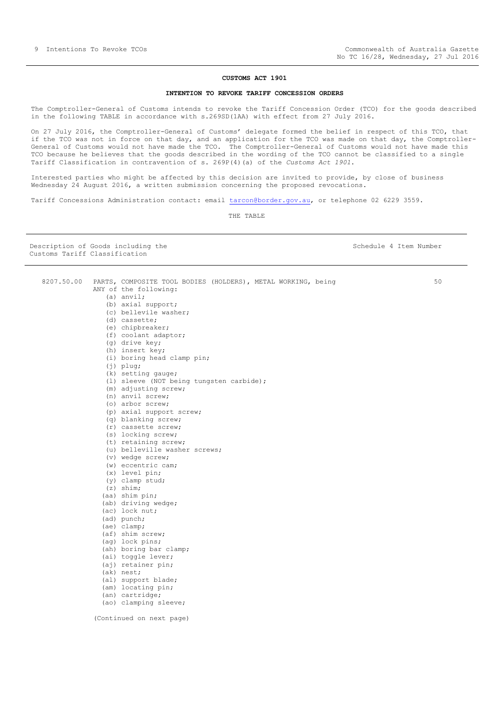## **CUSTOMS ACT 1901**

## **INTENTION TO REVOKE TARIFF CONCESSION ORDERS**

The Comptroller-General of Customs intends to revoke the Tariff Concession Order (TCO) for the goods described in the following TABLE in accordance with s.269SD(1AA) with effect from 27 July 2016.

On 27 July 2016, the Comptroller-General of Customs' delegate formed the belief in respect of this TCO, that if the TCO was not in force on that day, and an application for the TCO was made on that day, the Comptroller-General of Customs would not have made the TCO. The Comptroller-General of Customs would not have made this TCO because he believes that the goods described in the wording of the TCO cannot be classified to a single Tariff Classification in contravention of s. 269P(4)(a) of the *Customs Act 1901*.

Interested parties who might be affected by this decision are invited to provide, by close of business Wednesday 24 August 2016, a written submission concerning the proposed revocations.

Tariff Concessions Administration contact: email [tarcon@border.gov.au,](mailto:tarcon@border.gov.au) or telephone 02 6229 3559.

THE TABLE

Description of Goods including the Schedule 4 Item Number Schedule 4 Item Number Customs Tariff Classification

| 8207.50.00 | PARTS, COMPOSITE TOOL BODIES (HOLDERS), METAL WORKING, being<br>ANY of the following: | 5 <sub>0</sub> |
|------------|---------------------------------------------------------------------------------------|----------------|
|            | $(a)$ anvil;                                                                          |                |
|            | (b) axial support;                                                                    |                |
|            | (c) bellevile washer;                                                                 |                |
|            | (d) cassette;                                                                         |                |
|            | (e) chipbreaker;                                                                      |                |
|            |                                                                                       |                |
|            | (f) coolant adaptor;<br>$(q)$ drive key;                                              |                |
|            | (h) insert key;                                                                       |                |
|            |                                                                                       |                |
|            | (i) boring head clamp pin;                                                            |                |
|            | $(j)$ plug;                                                                           |                |
|            | (k) setting gauge;                                                                    |                |
|            | (1) sleeve (NOT being tungsten carbide);                                              |                |
|            | (m) adjusting screw;                                                                  |                |
|            | (n) anvil screw;                                                                      |                |
|            | (o) arbor screw;                                                                      |                |
|            | (p) axial support screw;                                                              |                |
|            | (q) blanking screw;                                                                   |                |
|            | (r) cassette screw;                                                                   |                |
|            | (s) locking screw;                                                                    |                |
|            | (t) retaining screw;                                                                  |                |
|            | (u) belleville washer screws;                                                         |                |
|            | (v) wedge screw;                                                                      |                |
|            | $(w)$ eccentric cam;                                                                  |                |
|            | $(x)$ level pin;                                                                      |                |
|            | (y) clamp stud;                                                                       |                |
|            | $(z)$ shim;                                                                           |                |
|            | (aa) shim pin;                                                                        |                |
|            | (ab) driving wedge;                                                                   |                |
|            | (ac) lock nut;                                                                        |                |
|            | (ad) punch;                                                                           |                |
|            | (ae) clamp;                                                                           |                |
|            | (af) shim screw;                                                                      |                |
|            | (ag) lock pins;                                                                       |                |
|            | (ah) boring bar clamp;                                                                |                |
|            | (ai) toggle lever;                                                                    |                |
|            | (aj) retainer pin;                                                                    |                |
|            | (ak) nest;                                                                            |                |
|            | (al) support blade;                                                                   |                |
|            | (am) locating pin;                                                                    |                |
|            | (an) cartridge;                                                                       |                |
|            | (ao) clamping sleeve;                                                                 |                |
|            |                                                                                       |                |
|            | (Continued on next page)                                                              |                |

50